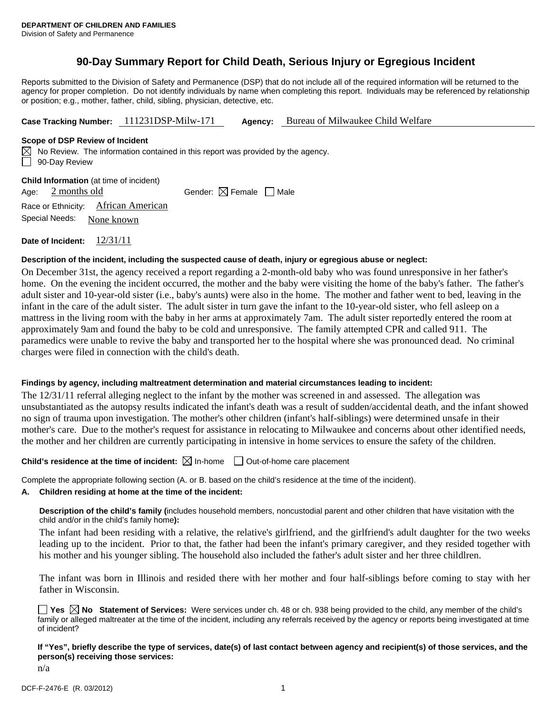# **90-Day Summary Report for Child Death, Serious Injury or Egregious Incident**

Reports submitted to the Division of Safety and Permanence (DSP) that do not include all of the required information will be returned to the agency for proper completion. Do not identify individuals by name when completing this report. Individuals may be referenced by relationship or position; e.g., mother, father, child, sibling, physician, detective, etc.

**Case Tracking Number:** 111231DSP-Milw-171 **Agency:** Bureau of Milwaukee Child Welfare

#### **Scope of DSP Review of Incident**

 $\boxtimes$  No Review. The information contained in this report was provided by the agency. 90-Day Review

**Child Information** (at time of incident) Age:  $2$  months old Gender:  $\boxtimes$  Female Male Race or Ethnicity: African American Special Needs: None known **Date of Incident:** 12/31/11

#### **Description of the incident, including the suspected cause of death, injury or egregious abuse or neglect:**

On December 31st, the agency received a report regarding a 2-month-old baby who was found unresponsive in her father's home. On the evening the incident occurred, the mother and the baby were visiting the home of the baby's father. The father's adult sister and 10-year-old sister (i.e., baby's aunts) were also in the home. The mother and father went to bed, leaving in the infant in the care of the adult sister. The adult sister in turn gave the infant to the 10-year-old sister, who fell asleep on a mattress in the living room with the baby in her arms at approximately 7am. The adult sister reportedly entered the room at approximately 9am and found the baby to be cold and unresponsive. The family attempted CPR and called 911. The paramedics were unable to revive the baby and transported her to the hospital where she was pronounced dead. No criminal charges were filed in connection with the child's death.

## **Findings by agency, including maltreatment determination and material circumstances leading to incident:**

The 12/31/11 referral alleging neglect to the infant by the mother was screened in and assessed. The allegation was unsubstantiated as the autopsy results indicated the infant's death was a result of sudden/accidental death, and the infant showed no sign of trauma upon investigation. The mother's other children (infant's half-siblings) were determined unsafe in their mother's care. Due to the mother's request for assistance in relocating to Milwaukee and concerns about other identified needs, the mother and her children are currently participating in intensive in home services to ensure the safety of the children.

## **Child's residence at the time of incident:**  $\boxtimes$  In-home  $\Box$  Out-of-home care placement

Complete the appropriate following section (A. or B. based on the child's residence at the time of the incident).

#### **A. Children residing at home at the time of the incident:**

**Description of the child's family (**includes household members, noncustodial parent and other children that have visitation with the child and/or in the child's family home**):** 

The infant had been residing with a relative, the relative's girlfriend, and the girlfriend's adult daughter for the two weeks leading up to the incident. Prior to that, the father had been the infant's primary caregiver, and they resided together with his mother and his younger sibling. The household also included the father's adult sister and her three childlren.

The infant was born in Illinois and resided there with her mother and four half-siblings before coming to stay with her father in Wisconsin.

**Yes**  $\boxtimes$  **No** Statement of Services: Were services under ch. 48 or ch. 938 being provided to the child, any member of the child's family or alleged maltreater at the time of the incident, including any referrals received by the agency or reports being investigated at time of incident?

## **If "Yes", briefly describe the type of services, date(s) of last contact between agency and recipient(s) of those services, and the person(s) receiving those services:**

n/a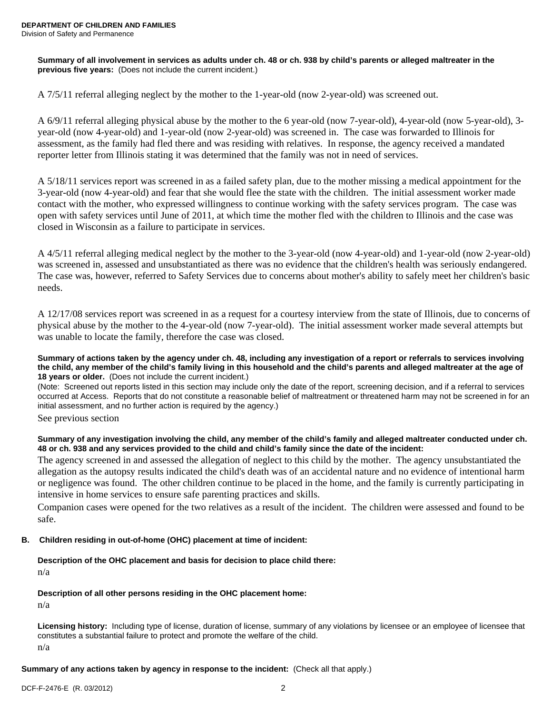**Summary of all involvement in services as adults under ch. 48 or ch. 938 by child's parents or alleged maltreater in the previous five years:** (Does not include the current incident.)

A 7/5/11 referral alleging neglect by the mother to the 1-year-old (now 2-year-old) was screened out.

A 6/9/11 referral alleging physical abuse by the mother to the 6 year-old (now 7-year-old), 4-year-old (now 5-year-old), 3 year-old (now 4-year-old) and 1-year-old (now 2-year-old) was screened in. The case was forwarded to Illinois for assessment, as the family had fled there and was residing with relatives. In response, the agency received a mandated reporter letter from Illinois stating it was determined that the family was not in need of services.

A 5/18/11 services report was screened in as a failed safety plan, due to the mother missing a medical appointment for the 3-year-old (now 4-year-old) and fear that she would flee the state with the children. The initial assessment worker made contact with the mother, who expressed willingness to continue working with the safety services program. The case was open with safety services until June of 2011, at which time the mother fled with the children to Illinois and the case was closed in Wisconsin as a failure to participate in services.

A 4/5/11 referral alleging medical neglect by the mother to the 3-year-old (now 4-year-old) and 1-year-old (now 2-year-old) was screened in, assessed and unsubstantiated as there was no evidence that the children's health was seriously endangered. The case was, however, referred to Safety Services due to concerns about mother's ability to safely meet her children's basic needs.

A 12/17/08 services report was screened in as a request for a courtesy interview from the state of Illinois, due to concerns of physical abuse by the mother to the 4-year-old (now 7-year-old). The initial assessment worker made several attempts but was unable to locate the family, therefore the case was closed.

**Summary of actions taken by the agency under ch. 48, including any investigation of a report or referrals to services involving the child, any member of the child's family living in this household and the child's parents and alleged maltreater at the age of 18 years or older.** (Does not include the current incident.)

(Note: Screened out reports listed in this section may include only the date of the report, screening decision, and if a referral to services occurred at Access. Reports that do not constitute a reasonable belief of maltreatment or threatened harm may not be screened in for an initial assessment, and no further action is required by the agency.)

See previous section

## **Summary of any investigation involving the child, any member of the child's family and alleged maltreater conducted under ch. 48 or ch. 938 and any services provided to the child and child's family since the date of the incident:**

The agency screened in and assessed the allegation of neglect to this child by the mother. The agency unsubstantiated the allegation as the autopsy results indicated the child's death was of an accidental nature and no evidence of intentional harm or negligence was found. The other children continue to be placed in the home, and the family is currently participating in intensive in home services to ensure safe parenting practices and skills.

Companion cases were opened for the two relatives as a result of the incident. The children were assessed and found to be safe.

# **B. Children residing in out-of-home (OHC) placement at time of incident:**

# **Description of the OHC placement and basis for decision to place child there:**

n/a

## **Description of all other persons residing in the OHC placement home:**

n/a

**Licensing history:** Including type of license, duration of license, summary of any violations by licensee or an employee of licensee that constitutes a substantial failure to protect and promote the welfare of the child.

n/a

## **Summary of any actions taken by agency in response to the incident:** (Check all that apply.)